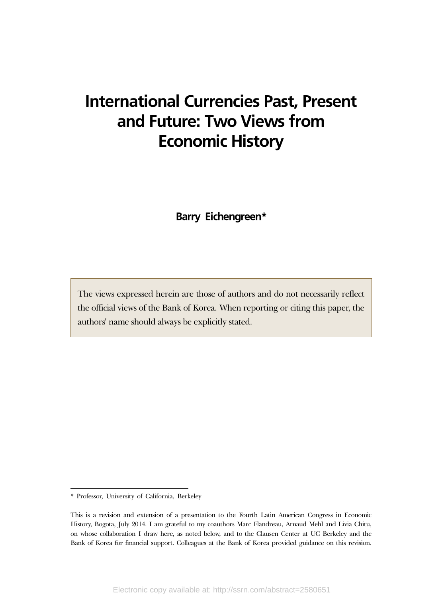# International Currencies Past, Present and Future: Two Views from Economic History

Barry Eichengreen\*\*

The views expressed herein are those of authors and do not necessarily reflect the official views of the Bank of Korea. When reporting or citing this paper, the authors' name should always be explicitly stated.

<sup>\*</sup> Professor, University of California, Berkeley

This is a revision and extension of a presentation to the Fourth Latin American Congress in Economic History, Bogota, July 2014. I am grateful to my coauthors Marc Flandreau, Arnaud Mehl and Livia Chitu, on whose collaboration I draw here, as noted below, and to the Clausen Center at UC Berkeley and the Bank of Korea for financial support. Colleagues at the Bank of Korea provided guidance on this revision.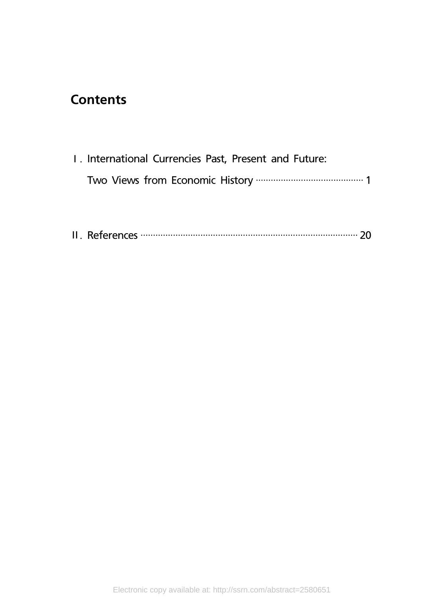# **Contents**

- Ⅰ. International Currencies Past, Present and Future: Two Views from Economic History ··········································· <sup>1</sup>
- <sup>Ⅱ</sup>. References ······················································································· <sup>20</sup>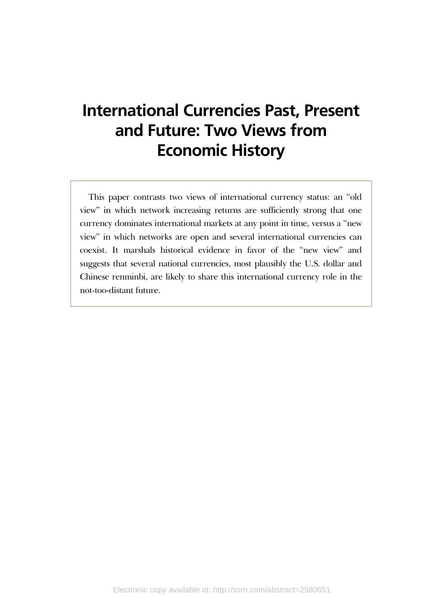# International Currencies Past, Present and Future: Two Views from Economic History

This paper contrasts two views of international currency status: an "old view" in which network increasing returns are sufficiently strong that one currency dominates international markets at any point in time, versus a "new view" in which networks are open and several international currencies can coexist. It marshals historical evidence in favor of the "new view" and suggests that several national currencies, most plausibly the U.S. dollar and Chinese renminbi, are likely to share this international currency role in the not-too-distant future.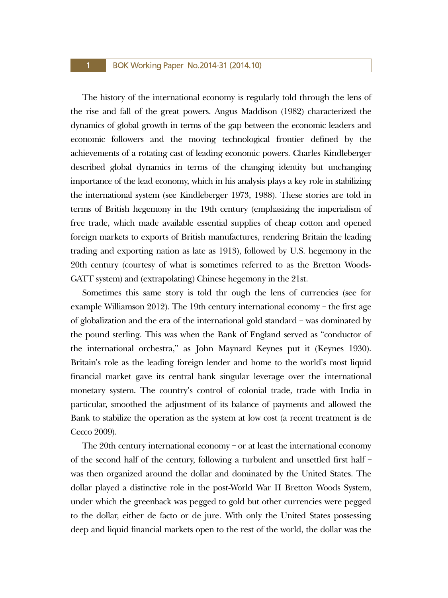The history of the international economy is regularly told through the lens of the rise and fall of the great powers. Angus Maddison (1982) characterized the dynamics of global growth in terms of the gap between the economic leaders and economic followers and the moving technological frontier defined by the achievements of a rotating cast of leading economic powers. Charles Kindleberger described global dynamics in terms of the changing identity but unchanging importance of the lead economy, which in his analysis plays a key role in stabilizing the international system (see Kindleberger 1973, 1988). These stories are told in terms of British hegemony in the 19th century (emphasizing the imperialism of free trade, which made available essential supplies of cheap cotton and opened foreign markets to exports of British manufactures, rendering Britain the leading trading and exporting nation as late as 1913), followed by U.S. hegemony in the 20th century (courtesy of what is sometimes referred to as the Bretton Woods-GATT system) and (extrapolating) Chinese hegemony in the 21st.

Sometimes this same story is told thr ough the lens of currencies (see for example Williamson 2012). The 19th century international economy – the first age of globalization and the era of the international gold standard – was dominated by the pound sterling. This was when the Bank of England served as "conductor of the international orchestra," as John Maynard Keynes put it (Keynes 1930). Britain's role as the leading foreign lender and home to the world's most liquid financial market gave its central bank singular leverage over the international monetary system. The country's control of colonial trade, trade with India in particular, smoothed the adjustment of its balance of payments and allowed the Bank to stabilize the operation as the system at low cost (a recent treatment is de Cecco 2009).

The 20th century international economy – or at least the international economy of the second half of the century, following a turbulent and unsettled first half – was then organized around the dollar and dominated by the United States. The dollar played a distinctive role in the post-World War II Bretton Woods System, under which the greenback was pegged to gold but other currencies were pegged to the dollar, either de facto or de jure. With only the United States possessing deep and liquid financial markets open to the rest of the world, the dollar was the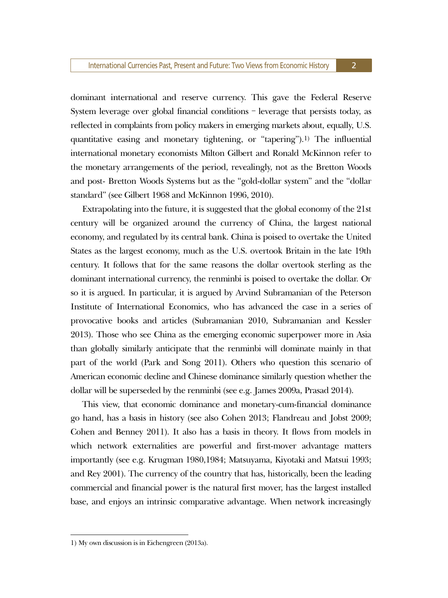dominant international and reserve currency. This gave the Federal Reserve System leverage over global financial conditions – leverage that persists today, as reflected in complaints from policy makers in emerging markets about, equally, U.S. quantitative easing and monetary tightening, or "tapering").1) The influential international monetary economists Milton Gilbert and Ronald McKinnon refer to the monetary arrangements of the period, revealingly, not as the Bretton Woods and post- Bretton Woods Systems but as the "gold-dollar system" and the "dollar standard" (see Gilbert 1968 and McKinnon 1996, 2010).

Extrapolating into the future, it is suggested that the global economy of the 21st century will be organized around the currency of China, the largest national economy, and regulated by its central bank. China is poised to overtake the United States as the largest economy, much as the U.S. overtook Britain in the late 19th century. It follows that for the same reasons the dollar overtook sterling as the dominant international currency, the renminbi is poised to overtake the dollar. Or so it is argued. In particular, it is argued by Arvind Subramanian of the Peterson Institute of International Economics, who has advanced the case in a series of provocative books and articles (Subramanian 2010, Subramanian and Kessler 2013). Those who see China as the emerging economic superpower more in Asia than globally similarly anticipate that the renminbi will dominate mainly in that part of the world (Park and Song 2011). Others who question this scenario of American economic decline and Chinese dominance similarly question whether the dollar will be superseded by the renminbi (see e.g. James 2009a, Prasad 2014).

This view, that economic dominance and monetary-cum-financial dominance go hand, has a basis in history (see also Cohen 2013; Flandreau and Jobst 2009; Cohen and Benney 2011). It also has a basis in theory. It flows from models in which network externalities are powerful and first-mover advantage matters importantly (see e.g. Krugman 1980,1984; Matsuyama, Kiyotaki and Matsui 1993; and Rey 2001). The currency of the country that has, historically, been the leading commercial and financial power is the natural first mover, has the largest installed base, and enjoys an intrinsic comparative advantage. When network increasingly

<sup>1)</sup> My own discussion is in Eichengreen (2013a).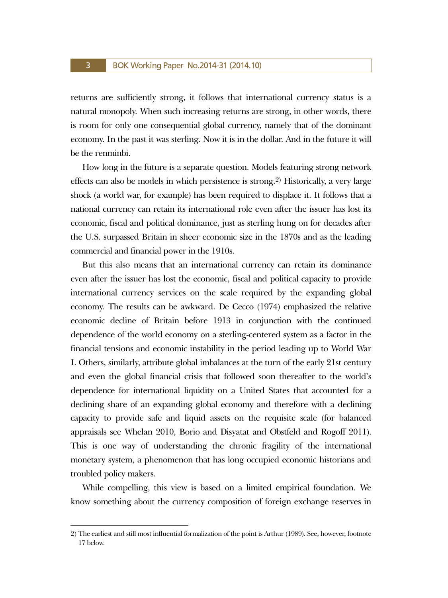returns are sufficiently strong, it follows that international currency status is a natural monopoly. When such increasing returns are strong, in other words, there is room for only one consequential global currency, namely that of the dominant economy. In the past it was sterling. Now it is in the dollar. And in the future it will be the renminbi.

How long in the future is a separate question. Models featuring strong network effects can also be models in which persistence is strong.2) Historically, a very large shock (a world war, for example) has been required to displace it. It follows that a national currency can retain its international role even after the issuer has lost its economic, fiscal and political dominance, just as sterling hung on for decades after the U.S. surpassed Britain in sheer economic size in the 1870s and as the leading commercial and financial power in the 1910s.

But this also means that an international currency can retain its dominance even after the issuer has lost the economic, fiscal and political capacity to provide international currency services on the scale required by the expanding global economy. The results can be awkward. De Cecco (1974) emphasized the relative economic decline of Britain before 1913 in conjunction with the continued dependence of the world economy on a sterling-centered system as a factor in the financial tensions and economic instability in the period leading up to World War I. Others, similarly, attribute global imbalances at the turn of the early 21st century and even the global financial crisis that followed soon thereafter to the world's dependence for international liquidity on a United States that accounted for a declining share of an expanding global economy and therefore with a declining capacity to provide safe and liquid assets on the requisite scale (for balanced appraisals see Whelan 2010, Borio and Disyatat and Obstfeld and Rogoff 2011). This is one way of understanding the chronic fragility of the international monetary system, a phenomenon that has long occupied economic historians and troubled policy makers.

While compelling, this view is based on a limited empirical foundation. We know something about the currency composition of foreign exchange reserves in

<sup>2)</sup> The earliest and still most influential formalization of the point is Arthur (1989). See, however, footnote 17 below.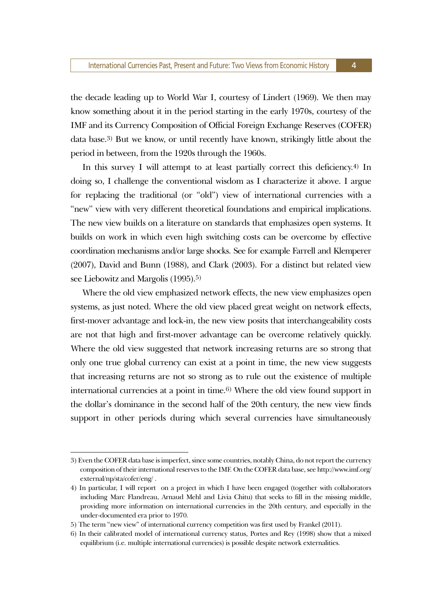the decade leading up to World War I, courtesy of Lindert (1969). We then may know something about it in the period starting in the early 1970s, courtesy of the IMF and its Currency Composition of Official Foreign Exchange Reserves (COFER) data base.3) But we know, or until recently have known, strikingly little about the period in between, from the 1920s through the 1960s.

In this survey I will attempt to at least partially correct this deficiency.<sup>4)</sup> In doing so, I challenge the conventional wisdom as I characterize it above. I argue for replacing the traditional (or "old") view of international currencies with a "new" view with very different theoretical foundations and empirical implications. The new view builds on a literature on standards that emphasizes open systems. It builds on work in which even high switching costs can be overcome by effective coordination mechanisms and/or large shocks. See for example Farrell and Klemperer (2007), David and Bunn (1988), and Clark (2003). For a distinct but related view see Liebowitz and Margolis (1995).5)

Where the old view emphasized network effects, the new view emphasizes open systems, as just noted. Where the old view placed great weight on network effects, first-mover advantage and lock-in, the new view posits that interchangeability costs are not that high and first-mover advantage can be overcome relatively quickly. Where the old view suggested that network increasing returns are so strong that only one true global currency can exist at a point in time, the new view suggests that increasing returns are not so strong as to rule out the existence of multiple international currencies at a point in time.6) Where the old view found support in the dollar's dominance in the second half of the 20th century, the new view finds support in other periods during which several currencies have simultaneously

<sup>3)</sup> Even the COFER data base is imperfect, since some countries, notably China, do not report the currency composition of their international reserves to the IMF. On the COFER data base, see http://www.imf.org/ external/np/sta/cofer/eng/ .

<sup>4)</sup> In particular, I will report on a project in which I have been engaged (together with collaborators including Marc Flandreau, Arnaud Mehl and Livia Chitu) that seeks to fill in the missing middle, providing more information on international currencies in the 20th century, and especially in the under-documented era prior to 1970.

<sup>5)</sup> The term "new view" of international currency competition was first used by Frankel (2011).

<sup>6)</sup> In their calibrated model of international currency status, Portes and Rey (1998) show that a mixed equilibrium (i.e. multiple international currencies) is possible despite network externalities.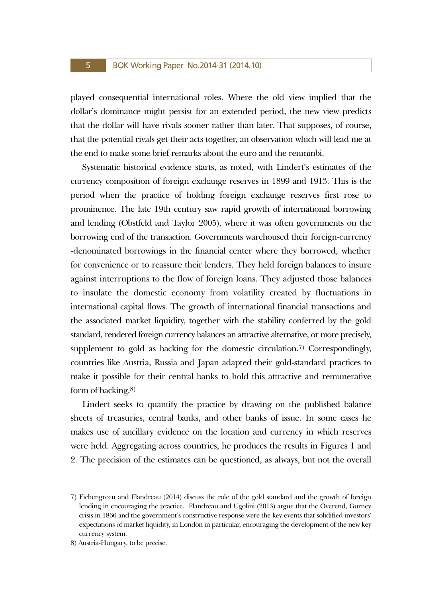played consequential international roles. Where the old view implied that the dollar's dominance might persist for an extended period, the new view predicts that the dollar will have rivals sooner rather than later. That supposes, of course, that the potential rivals get their acts together, an observation which will lead me at the end to make some brief remarks about the euro and the renminbi.

Systematic historical evidence starts, as noted, with Lindert's estimates of the currency composition of foreign exchange reserves in 1899 and 1913. This is the period when the practice of holding foreign exchange reserves first rose to prominence. The late 19th century saw rapid growth of international borrowing and lending (Obstfeld and Taylor 2005), where it was often governments on the borrowing end of the transaction. Governments warehoused their foreign-currency -denominated borrowings in the financial center where they borrowed, whether for convenience or to reassure their lenders. They held foreign balances to insure against interruptions to the flow of foreign loans. They adjusted those balances to insulate the domestic economy from volatility created by fluctuations in international capital flows. The growth of international financial transactions and the associated market liquidity, together with the stability conferred by the gold standard, rendered foreign currency balances an attractive alternative, or more precisely, supplement to gold as backing for the domestic circulation.<sup>7)</sup> Correspondingly, countries like Austria, Russia and Japan adapted their gold-standard practices to make it possible for their central banks to hold this attractive and remunerative form of backing.8)

Lindert seeks to quantify the practice by drawing on the published balance sheets of treasuries, central banks, and other banks of issue. In some cases he makes use of ancillary evidence on the location and currency in which reserves were held. Aggregating across countries, he produces the results in Figures 1 and 2. The precision of the estimates can be questioned, as always, but not the overall

<sup>7)</sup> Eichengreen and Flandreau (2014) discuss the role of the gold standard and the growth of foreign lending in encouraging the practice. Flandreau and Ugolini (2013) argue that the Overend, Gurney crisis in 1866 and the government's constructive response were the key events that solidified investors' expectations of market liquidity, in London in particular, encouraging the development of the new key currency system.

<sup>8)</sup> Austria-Hungary, to be precise.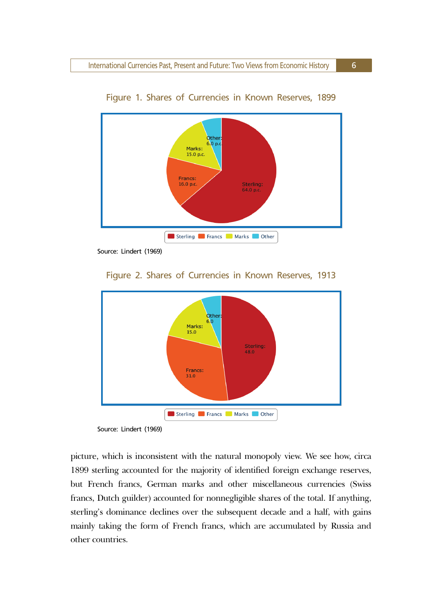

Figure 1. Shares of Currencies in Known Reserves, 1899

Source: Lindert (1969)





Source: Lindert (1969)

picture, which is inconsistent with the natural monopoly view. We see how, circa 1899 sterling accounted for the majority of identified foreign exchange reserves, but French francs, German marks and other miscellaneous currencies (Swiss francs, Dutch guilder) accounted for nonnegligible shares of the total. If anything, sterling's dominance declines over the subsequent decade and a half, with gains mainly taking the form of French francs, which are accumulated by Russia and other countries.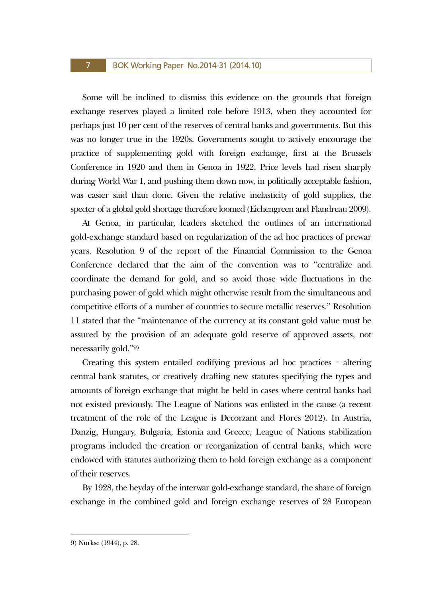Some will be inclined to dismiss this evidence on the grounds that foreign exchange reserves played a limited role before 1913, when they accounted for perhaps just 10 per cent of the reserves of central banks and governments. But this was no longer true in the 1920s. Governments sought to actively encourage the practice of supplementing gold with foreign exchange, first at the Brussels Conference in 1920 and then in Genoa in 1922. Price levels had risen sharply during World War I, and pushing them down now, in politically acceptable fashion, was easier said than done. Given the relative inelasticity of gold supplies, the specter of a global gold shortage therefore loomed (Eichengreen and Flandreau 2009).

At Genoa, in particular, leaders sketched the outlines of an international gold-exchange standard based on regularization of the ad hoc practices of prewar years. Resolution 9 of the report of the Financial Commission to the Genoa Conference declared that the aim of the convention was to "centralize and coordinate the demand for gold, and so avoid those wide fluctuations in the purchasing power of gold which might otherwise result from the simultaneous and competitive efforts of a number of countries to secure metallic reserves." Resolution 11 stated that the "maintenance of the currency at its constant gold value must be assured by the provision of an adequate gold reserve of approved assets, not necessarily gold."9)

Creating this system entailed codifying previous ad hoc practices – altering central bank statutes, or creatively drafting new statutes specifying the types and amounts of foreign exchange that might be held in cases where central banks had not existed previously. The League of Nations was enlisted in the cause (a recent treatment of the role of the League is Decorzant and Flores 2012). In Austria, Danzig, Hungary, Bulgaria, Estonia and Greece, League of Nations stabilization programs included the creation or reorganization of central banks, which were endowed with statutes authorizing them to hold foreign exchange as a component of their reserves.

By 1928, the heyday of the interwar gold-exchange standard, the share of foreign exchange in the combined gold and foreign exchange reserves of 28 European

<sup>9)</sup> Nurkse (1944), p. 28.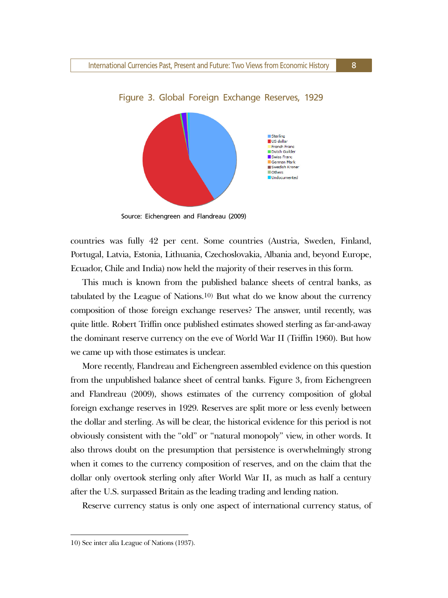

#### Figure 3. Global Foreign Exchange Reserves, 1929

Source: Eichengreen and Flandreau (2009)

countries was fully 42 per cent. Some countries (Austria, Sweden, Finland, Portugal, Latvia, Estonia, Lithuania, Czechoslovakia, Albania and, beyond Europe, Ecuador, Chile and India) now held the majority of their reserves in this form.

This much is known from the published balance sheets of central banks, as tabulated by the League of Nations.<sup>10</sup> But what do we know about the currency composition of those foreign exchange reserves? The answer, until recently, was quite little. Robert Triffin once published estimates showed sterling as far-and-away the dominant reserve currency on the eve of World War II (Triffin 1960). But how we came up with those estimates is unclear.

More recently, Flandreau and Eichengreen assembled evidence on this question from the unpublished balance sheet of central banks. Figure 3, from Eichengreen and Flandreau (2009), shows estimates of the currency composition of global foreign exchange reserves in 1929. Reserves are split more or less evenly between the dollar and sterling. As will be clear, the historical evidence for this period is not obviously consistent with the "old" or "natural monopoly" view, in other words. It also throws doubt on the presumption that persistence is overwhelmingly strong when it comes to the currency composition of reserves, and on the claim that the dollar only overtook sterling only after World War II, as much as half a century after the U.S. surpassed Britain as the leading trading and lending nation.

Reserve currency status is only one aspect of international currency status, of

<sup>10)</sup> See inter alia League of Nations (1937).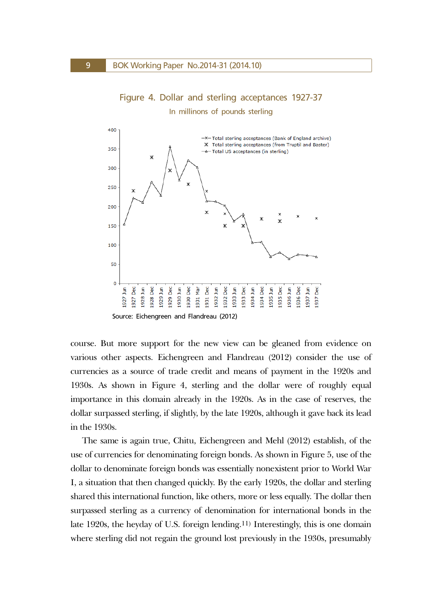

# Figure 4. Dollar and sterling acceptances 1927-37

Source: Eichengreen and Flandreau (2012)

course. But more support for the new view can be gleaned from evidence on various other aspects. Eichengreen and Flandreau (2012) consider the use of currencies as a source of trade credit and means of payment in the 1920s and 1930s. As shown in Figure 4, sterling and the dollar were of roughly equal importance in this domain already in the 1920s. As in the case of reserves, the dollar surpassed sterling, if slightly, by the late 1920s, although it gave back its lead in the 1930s.

The same is again true, Chitu, Eichengreen and Mehl (2012) establish, of the use of currencies for denominating foreign bonds. As shown in Figure 5, use of the dollar to denominate foreign bonds was essentially nonexistent prior to World War I, a situation that then changed quickly. By the early 1920s, the dollar and sterling shared this international function, like others, more or less equally. The dollar then surpassed sterling as a currency of denomination for international bonds in the late 1920s, the heyday of U.S. foreign lending.11) Interestingly, this is one domain where sterling did not regain the ground lost previously in the 1930s, presumably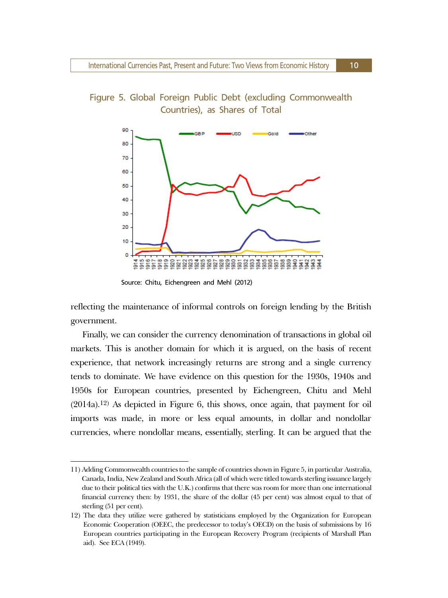



Source: Chitu, Eichengreen and Mehl (2012)

reflecting the maintenance of informal controls on foreign lending by the British government.

Finally, we can consider the currency denomination of transactions in global oil markets. This is another domain for which it is argued, on the basis of recent experience, that network increasingly returns are strong and a single currency tends to dominate. We have evidence on this question for the 1930s, 1940s and 1950s for European countries, presented by Eichengreen, Chitu and Mehl  $(2014a)^{12}$  As depicted in Figure 6, this shows, once again, that payment for oil imports was made, in more or less equal amounts, in dollar and nondollar currencies, where nondollar means, essentially, sterling. It can be argued that the

<sup>11)</sup> Adding Commonwealth countries to the sample of countries shown in Figure 5, in particular Australia, Canada, India, New Zealand and South Africa (all of which were titled towards sterling issuance largely due to their political ties with the U.K.) confirms that there was room for more than one international financial currency then: by 1931, the share of the dollar (45 per cent) was almost equal to that of sterling (51 per cent).

<sup>12)</sup> The data they utilize were gathered by statisticians employed by the Organization for European Economic Cooperation (OEEC, the predecessor to today's OECD) on the basis of submissions by 16 European countries participating in the European Recovery Program (recipients of Marshall Plan aid). See ECA (1949).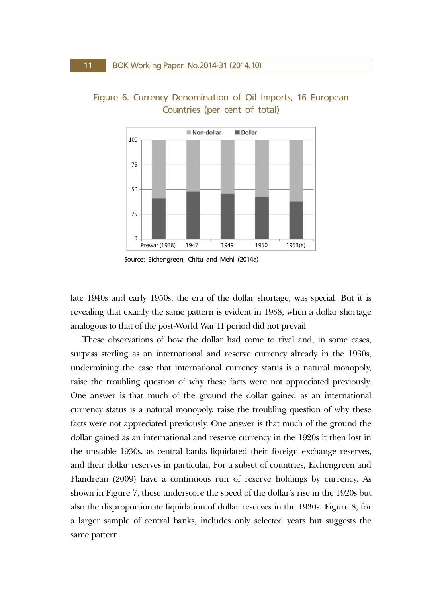

# Figure 6. Currency Denomination of Oil Imports, 16 European Countries (per cent of total)

late 1940s and early 1950s, the era of the dollar shortage, was special. But it is revealing that exactly the same pattern is evident in 1938, when a dollar shortage analogous to that of the post-World War II period did not prevail.

These observations of how the dollar had come to rival and, in some cases, surpass sterling as an international and reserve currency already in the 1930s, undermining the case that international currency status is a natural monopoly, raise the troubling question of why these facts were not appreciated previously. One answer is that much of the ground the dollar gained as an international currency status is a natural monopoly, raise the troubling question of why these facts were not appreciated previously. One answer is that much of the ground the dollar gained as an international and reserve currency in the 1920s it then lost in the unstable 1930s, as central banks liquidated their foreign exchange reserves, and their dollar reserves in particular. For a subset of countries, Eichengreen and Flandreau (2009) have a continuous run of reserve holdings by currency. As shown in Figure 7, these underscore the speed of the dollar's rise in the 1920s but also the disproportionate liquidation of dollar reserves in the 1930s. Figure 8, for a larger sample of central banks, includes only selected years but suggests the same pattern.

Source: Eichengreen, Chitu and Mehl (2014a)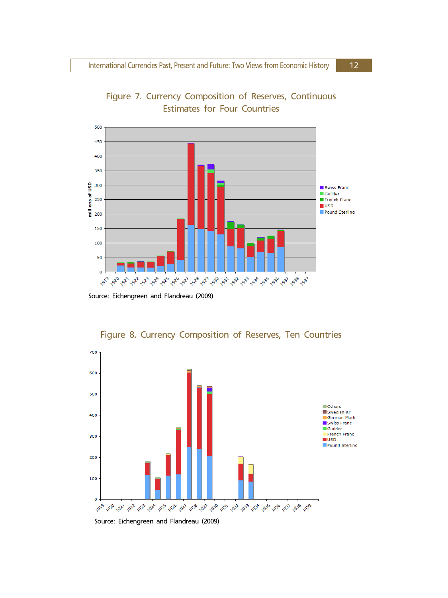

Figure 7. Currency Composition of Reserves, Continuous Estimates for Four Countries

Source: Eichengreen and Flandreau (2009)



Figure 8. Currency Composition of Reserves, Ten Countries

Source: Eichengreen and Flandreau (2009)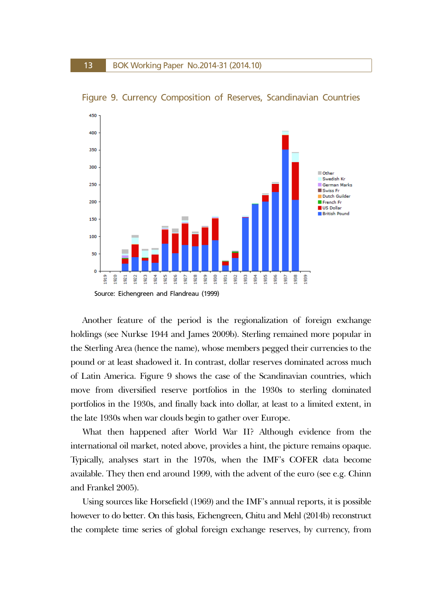

Figure 9. Currency Composition of Reserves, Scandinavian Countries

Another feature of the period is the regionalization of foreign exchange holdings (see Nurkse 1944 and James 2009b). Sterling remained more popular in the Sterling Area (hence the name), whose members pegged their currencies to the pound or at least shadowed it. In contrast, dollar reserves dominated across much of Latin America. Figure 9 shows the case of the Scandinavian countries, which move from diversified reserve portfolios in the 1930s to sterling dominated portfolios in the 1930s, and finally back into dollar, at least to a limited extent, in the late 1930s when war clouds begin to gather over Europe.

What then happened after World War II? Although evidence from the international oil market, noted above, provides a hint, the picture remains opaque. Typically, analyses start in the 1970s, when the IMF's COFER data become available. They then end around 1999, with the advent of the euro (see e.g. Chinn and Frankel 2005).

Using sources like Horsefield (1969) and the IMF's annual reports, it is possible however to do better. On this basis, Eichengreen, Chitu and Mehl (2014b) reconstruct the complete time series of global foreign exchange reserves, by currency, from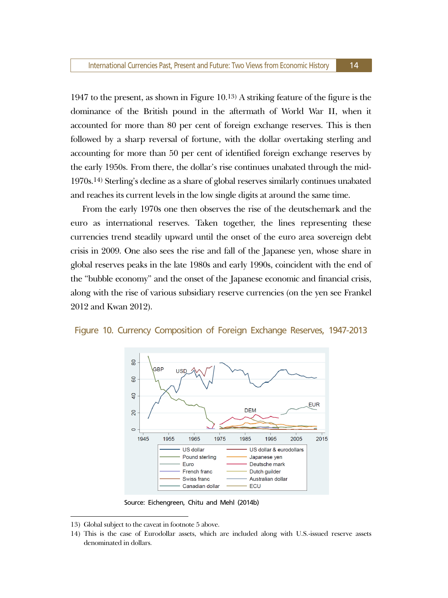1947 to the present, as shown in Figure 10.13) A striking feature of the figure is the dominance of the British pound in the aftermath of World War II, when it accounted for more than 80 per cent of foreign exchange reserves. This is then followed by a sharp reversal of fortune, with the dollar overtaking sterling and accounting for more than 50 per cent of identified foreign exchange reserves by the early 1950s. From there, the dollar's rise continues unabated through the mid-1970s.14) Sterling's decline as a share of global reserves similarly continues unabated and reaches its current levels in the low single digits at around the same time.

From the early 1970s one then observes the rise of the deutschemark and the euro as international reserves. Taken together, the lines representing these currencies trend steadily upward until the onset of the euro area sovereign debt crisis in 2009. One also sees the rise and fall of the Japanese yen, whose share in global reserves peaks in the late 1980s and early 1990s, coincident with the end of the "bubble economy" and the onset of the Japanese economic and financial crisis, along with the rise of various subsidiary reserve currencies (on the yen see Frankel 2012 and Kwan 2012).



Figure 10. Currency Composition of Foreign Exchange Reserves, 1947-2013

Source: Eichengreen, Chitu and Mehl (2014b)

<sup>13)</sup> Global subject to the caveat in footnote 5 above.

<sup>14)</sup> This is the case of Eurodollar assets, which are included along with U.S.-issued reserve assets denominated in dollars.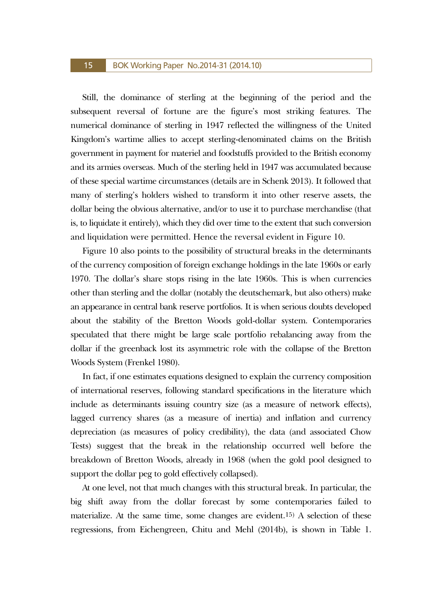Still, the dominance of sterling at the beginning of the period and the subsequent reversal of fortune are the figure's most striking features. The numerical dominance of sterling in 1947 reflected the willingness of the United Kingdom's wartime allies to accept sterling-denominated claims on the British government in payment for materiel and foodstuffs provided to the British economy and its armies overseas. Much of the sterling held in 1947 was accumulated because of these special wartime circumstances (details are in Schenk 2013). It followed that many of sterling's holders wished to transform it into other reserve assets, the dollar being the obvious alternative, and/or to use it to purchase merchandise (that is, to liquidate it entirely), which they did over time to the extent that such conversion and liquidation were permitted. Hence the reversal evident in Figure 10.

Figure 10 also points to the possibility of structural breaks in the determinants of the currency composition of foreign exchange holdings in the late 1960s or early 1970. The dollar's share stops rising in the late 1960s. This is when currencies other than sterling and the dollar (notably the deutschemark, but also others) make an appearance in central bank reserve portfolios. It is when serious doubts developed about the stability of the Bretton Woods gold-dollar system. Contemporaries speculated that there might be large scale portfolio rebalancing away from the dollar if the greenback lost its asymmetric role with the collapse of the Bretton Woods System (Frenkel 1980).

In fact, if one estimates equations designed to explain the currency composition of international reserves, following standard specifications in the literature which include as determinants issuing country size (as a measure of network effects), lagged currency shares (as a measure of inertia) and inflation and currency depreciation (as measures of policy credibility), the data (and associated Chow Tests) suggest that the break in the relationship occurred well before the breakdown of Bretton Woods, already in 1968 (when the gold pool designed to support the dollar peg to gold effectively collapsed).

At one level, not that much changes with this structural break. In particular, the big shift away from the dollar forecast by some contemporaries failed to materialize. At the same time, some changes are evident.15) A selection of these regressions, from Eichengreen, Chitu and Mehl (2014b), is shown in Table 1.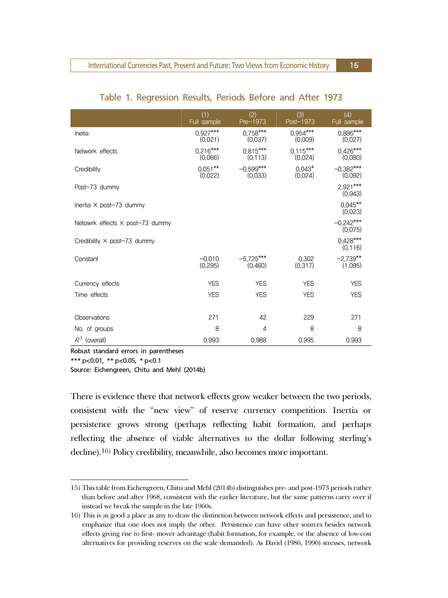|                                        | (1)<br>Full sample    | (2)<br>Pre-1973        | (3)<br>Post-1973      | (4)<br>Full sample     |
|----------------------------------------|-----------------------|------------------------|-----------------------|------------------------|
| Inetia                                 | $0.927***$<br>(0.021) | $0.758***$<br>(0.037)  | $0.954***$<br>(0.009) | 0.886***<br>(0.027)    |
| Network effects                        | $0.216***$<br>(0.066) | $0.815***$<br>(0.113)  | $0.115***$<br>(0.024) | $0.426***$<br>(0.080)  |
| Credibility                            | $0.051***$<br>(0.022) | $-0.599***$<br>(0.033) | $0.043*$<br>(0.024)   | $-0.382***$<br>(0.092) |
| Post-73 dummy                          |                       |                        |                       | 2,921***<br>(0.943)    |
| Inertia $\times$ post-73 dummy         |                       |                        |                       | $0.045***$<br>(0.023)  |
| Netowrk effects $\times$ post-73 dummy |                       |                        |                       | $-0.242***$<br>(0.075) |
| Credibility $\times$ post-73 dummy     |                       |                        |                       | $0.428***$<br>(0.116)  |
| Constant                               | $-0.010$<br>(0.295)   | $-5.725***$<br>(0.460) | 0.302<br>(0.317)      | $-2.739**$<br>(1.095)  |
| Currency effects                       | <b>YES</b>            | <b>YES</b>             | <b>YES</b>            | <b>YES</b>             |
| Time effects                           | <b>YES</b>            | <b>YES</b>             | <b>YES</b>            | <b>YES</b>             |
| Observations                           | 271                   | 42                     | 229                   | 271                    |
| No. of groups                          | 8                     | 4                      | 8                     | 8                      |
| $R^2$ (overall)                        | 0.993                 | 0.988                  | 0.995                 | 0.993                  |

## Table 1. Regression Results, Periods Before and After 1973

Robust standard errors in parentheses

\*\*\* p<0.01, \*\* p<0.05, \* p<0.1

Source: Eichengreen, Chitu and Mehl (2014b)

There is evidence there that network effects grow weaker between the two periods, consistent with the "new view" of reserve currency competition. Inertia or persistence grows strong (perhaps reflecting habit formation, and perhaps reflecting the absence of viable alternatives to the dollar following sterling's decline).16) Policy credibility, meanwhile, also becomes more important.

<sup>15)</sup> This table from Eichengreen, Chitu and Mehl (2014b) distinguishes pre- and post-1973 periods rather than before and after 1968, consistent with the earlier literature, but the same patterns carry over if instead we break the sample in the late 1960s.

<sup>16)</sup> This is as good a place as any to draw the distinction between network effects and persistence, and to emphasize that one does not imply the other. Persistence can have other sources besides network effects giving rise to first- mover advantage (habit formation, for example, or the absence of low-cost alternatives for providing reserves on the scale demanded). As David (1986, 1990) stresses, network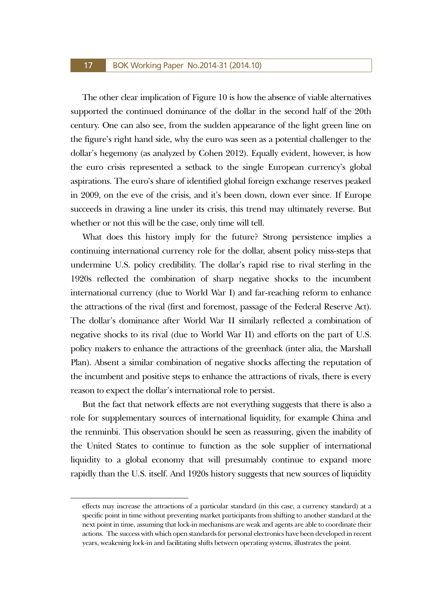The other clear implication of Figure 10 is how the absence of viable alternatives supported the continued dominance of the dollar in the second half of the 20th century. One can also see, from the sudden appearance of the light green line on the figure's right hand side, why the euro was seen as a potential challenger to the dollar's hegemony (as analyzed by Cohen 2012). Equally evident, however, is how the euro crisis represented a setback to the single European currency's global aspirations. The euro's share of identified global foreign exchange reserves peaked in 2009, on the eve of the crisis, and it's been down, down ever since. If Europe succeeds in drawing a line under its crisis, this trend may ultimately reverse. But whether or not this will be the case, only time will tell.

What does this history imply for the future? Strong persistence implies a continuing international currency role for the dollar, absent policy miss-steps that undermine U.S. policy credibility. The dollar's rapid rise to rival sterling in the 1920s reflected the combination of sharp negative shocks to the incumbent international currency (due to World War I) and far-reaching reform to enhance the attractions of the rival (first and foremost, passage of the Federal Reserve Act). The dollar's dominance after World War II similarly reflected a combination of negative shocks to its rival (due to World War II) and efforts on the part of U.S. policy makers to enhance the attractions of the greenback (inter alia, the Marshall Plan). Absent a similar combination of negative shocks affecting the reputation of the incumbent and positive steps to enhance the attractions of rivals, there is every reason to expect the dollar's international role to persist.

But the fact that network effects are not everything suggests that there is also a role for supplementary sources of international liquidity, for example China and the renminbi. This observation should be seen as reassuring, given the inability of the United States to continue to function as the sole supplier of international liquidity to a global economy that will presumably continue to expand more rapidly than the U.S. itself. And 1920s history suggests that new sources of liquidity

effects may increase the attractions of a particular standard (in this case, a currency standard) at a specific point in time without preventing market participants from shifting to another standard at the next point in time, assuming that lock-in mechanisms are weak and agents are able to coordinate their actions. The success with which open standards for personal electronics have been developed in recent years, weakening lock-in and facilitating shifts between operating systems, illustrates the point.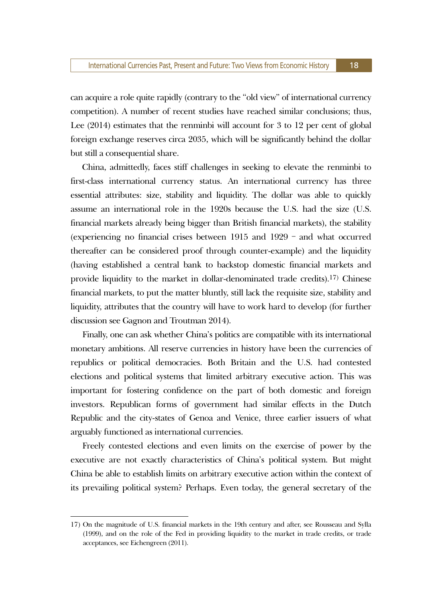can acquire a role quite rapidly (contrary to the "old view" of international currency competition). A number of recent studies have reached similar conclusions; thus, Lee (2014) estimates that the renminbi will account for 3 to 12 per cent of global foreign exchange reserves circa 2035, which will be significantly behind the dollar but still a consequential share.

China, admittedly, faces stiff challenges in seeking to elevate the renminbi to first-class international currency status. An international currency has three essential attributes: size, stability and liquidity. The dollar was able to quickly assume an international role in the 1920s because the U.S. had the size (U.S. financial markets already being bigger than British financial markets), the stability (experiencing no financial crises between 1915 and 1929 – and what occurred thereafter can be considered proof through counter-example) and the liquidity (having established a central bank to backstop domestic financial markets and provide liquidity to the market in dollar-denominated trade credits).17) Chinese financial markets, to put the matter bluntly, still lack the requisite size, stability and liquidity, attributes that the country will have to work hard to develop (for further discussion see Gagnon and Troutman 2014).

Finally, one can ask whether China's politics are compatible with its international monetary ambitions. All reserve currencies in history have been the currencies of republics or political democracies. Both Britain and the U.S. had contested elections and political systems that limited arbitrary executive action. This was important for fostering confidence on the part of both domestic and foreign investors. Republican forms of government had similar effects in the Dutch Republic and the city-states of Genoa and Venice, three earlier issuers of what arguably functioned as international currencies.

Freely contested elections and even limits on the exercise of power by the executive are not exactly characteristics of China's political system. But might China be able to establish limits on arbitrary executive action within the context of its prevailing political system? Perhaps. Even today, the general secretary of the

<sup>17)</sup> On the magnitude of U.S. financial markets in the 19th century and after, see Rousseau and Sylla (1999), and on the role of the Fed in providing liquidity to the market in trade credits, or trade acceptances, see Eichengreen (2011).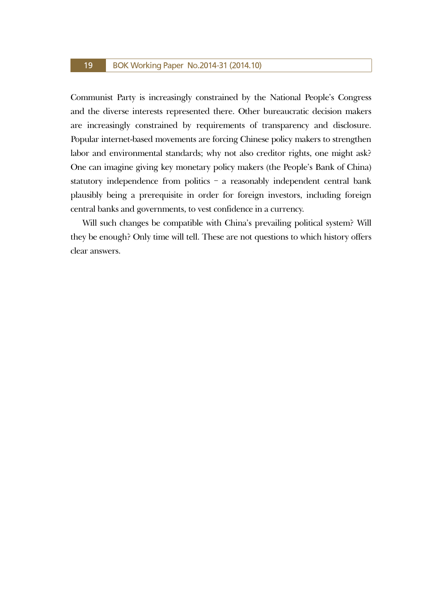Communist Party is increasingly constrained by the National People's Congress and the diverse interests represented there. Other bureaucratic decision makers are increasingly constrained by requirements of transparency and disclosure. Popular internet-based movements are forcing Chinese policy makers to strengthen labor and environmental standards; why not also creditor rights, one might ask? One can imagine giving key monetary policy makers (the People's Bank of China) statutory independence from politics – a reasonably independent central bank plausibly being a prerequisite in order for foreign investors, including foreign central banks and governments, to vest confidence in a currency.

Will such changes be compatible with China's prevailing political system? Will they be enough? Only time will tell. These are not questions to which history offers clear answers.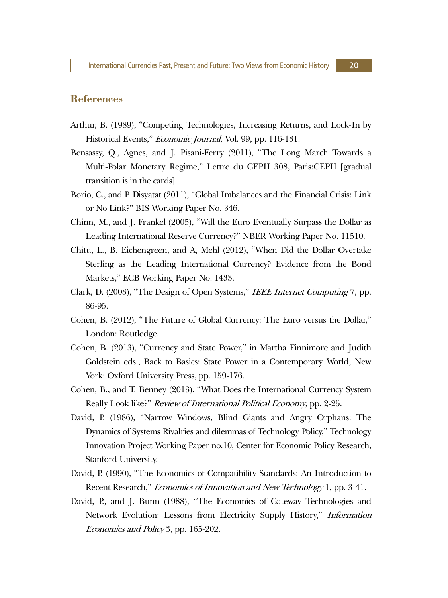# References

- Arthur, B. (1989), "Competing Technologies, Increasing Returns, and Lock-In by Historical Events," Economic Journal, Vol. 99, pp. 116-131.
- Bensassy, Q., Agnes, and J. Pisani-Ferry (2011), "The Long March Towards a Multi-Polar Monetary Regime," Lettre du CEPII 308, Paris:CEPII [gradual transition is in the cards]
- Borio, C., and P. Disyatat (2011), "Global Imbalances and the Financial Crisis: Link or No Link?" BIS Working Paper No. 346.
- Chinn, M., and J. Frankel (2005), "Will the Euro Eventually Surpass the Dollar as Leading International Reserve Currency?" NBER Working Paper No. 11510.
- Chitu, L., B. Eichengreen, and A, Mehl (2012), "When Did the Dollar Overtake Sterling as the Leading International Currency? Evidence from the Bond Markets," ECB Working Paper No. 1433.
- Clark, D. (2003), "The Design of Open Systems," IEEE Internet Computing 7, pp. 86-95.
- Cohen, B. (2012), "The Future of Global Currency: The Euro versus the Dollar," London: Routledge.
- Cohen, B. (2013), "Currency and State Power," in Martha Finnimore and Judith Goldstein eds., Back to Basics: State Power in a Contemporary World, New York: Oxford University Press, pp. 159-176.
- Cohen, B., and T. Benney (2013), "What Does the International Currency System Really Look like?" Review of International Political Economy, pp. 2-25.
- David, P. (1986), "Narrow Windows, Blind Giants and Angry Orphans: The Dynamics of Systems Rivalries and dilemmas of Technology Policy," Technology Innovation Project Working Paper no.10, Center for Economic Policy Research, Stanford University.
- David, P. (1990), "The Economics of Compatibility Standards: An Introduction to Recent Research," Economics of Innovation and New Technology 1, pp. 3-41.
- David, P., and J. Bunn (1988), "The Economics of Gateway Technologies and Network Evolution: Lessons from Electricity Supply History," Information Economics and Policy 3, pp. 165-202.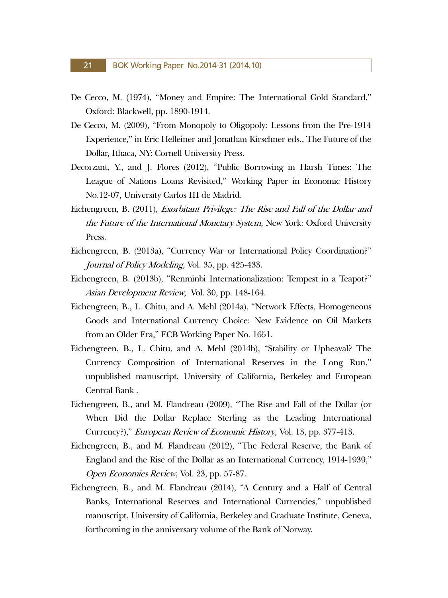- De Cecco, M. (1974), "Money and Empire: The International Gold Standard," Oxford: Blackwell, pp. 1890-1914.
- De Cecco, M. (2009), "From Monopoly to Oligopoly: Lessons from the Pre-1914 Experience," in Eric Helleiner and Jonathan Kirschner eds., The Future of the Dollar, Ithaca, NY: Cornell University Press.
- Decorzant, Y., and J. Flores (2012), "Public Borrowing in Harsh Times: The League of Nations Loans Revisited," Working Paper in Economic History No.12-07, University Carlos III de Madrid.
- Eichengreen, B. (2011), Exorbitant Privilege: The Rise and Fall of the Dollar and the Future of the International Monetary System, New York: Oxford University Press.
- Eichengreen, B. (2013a), "Currency War or International Policy Coordination?" Journal of Policy Modeling, Vol. 35, pp. 425-433.
- Eichengreen, B. (2013b), "Renminbi Internationalization: Tempest in a Teapot?" Asian Development Review, Vol. 30, pp. 148-164.
- Eichengreen, B., L. Chitu, and A. Mehl (2014a), "Network Effects, Homogeneous Goods and International Currency Choice: New Evidence on Oil Markets from an Older Era," ECB Working Paper No. 1651.
- Eichengreen, B., L. Chitu, and A. Mehl (2014b), "Stability or Upheaval? The Currency Composition of International Reserves in the Long Run," unpublished manuscript, University of California, Berkeley and European Central Bank .
- Eichengreen, B., and M. Flandreau (2009), "The Rise and Fall of the Dollar (or When Did the Dollar Replace Sterling as the Leading International Currency?)," European Review of Economic History, Vol. 13, pp. 377-413.
- Eichengreen, B., and M. Flandreau (2012), "The Federal Reserve, the Bank of England and the Rise of the Dollar as an International Currency, 1914-1939," Open Economies Review, Vol. 23, pp. 57-87.
- Eichengreen, B., and M. Flandreau (2014), "A Century and a Half of Central Banks, International Reserves and International Currencies," unpublished manuscript, University of California, Berkeley and Graduate Institute, Geneva, forthcoming in the anniversary volume of the Bank of Norway.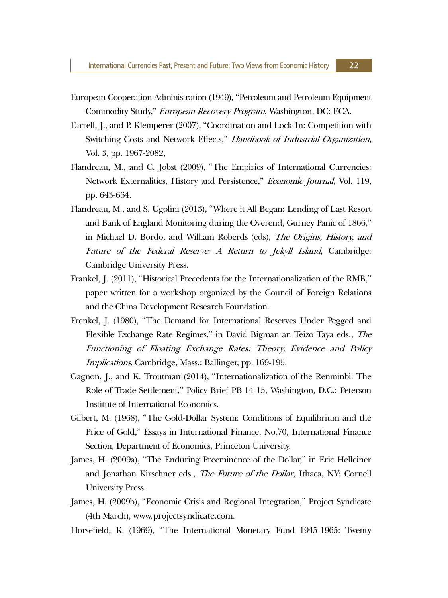- European Cooperation Administration (1949), "Petroleum and Petroleum Equipment Commodity Study," European Recovery Program, Washington, DC: ECA.
- Farrell, J., and P. Klemperer (2007), "Coordination and Lock-In: Competition with Switching Costs and Network Effects," Handbook of Industrial Organization, Vol. 3, pp. 1967-2082,
- Flandreau, M., and C. Jobst (2009), "The Empirics of International Currencies: Network Externalities, History and Persistence," Economic Journal, Vol. 119, pp. 643-664.
- Flandreau, M., and S. Ugolini (2013), "Where it All Began: Lending of Last Resort and Bank of England Monitoring during the Overend, Gurney Panic of 1866," in Michael D. Bordo, and William Roberds (eds), The Origins, History, and Future of the Federal Reserve: A Return to Jekyll Island, Cambridge: Cambridge University Press.
- Frankel, J. (2011), "Historical Precedents for the Internationalization of the RMB," paper written for a workshop organized by the Council of Foreign Relations and the China Development Research Foundation.
- Frenkel, J. (1980), "The Demand for International Reserves Under Pegged and Flexible Exchange Rate Regimes," in David Bigman an Teizo Taya eds., The Functioning of Floating Exchange Rates: Theory, Evidence and Policy Implications, Cambridge, Mass.: Ballinger, pp. 169-195.
- Gagnon, J., and K. Troutman (2014), "Internationalization of the Renminbi: The Role of Trade Settlement," Policy Brief PB 14-15, Washington, D.C.: Peterson Institute of International Economics.
- Gilbert, M. (1968), "The Gold-Dollar System: Conditions of Equilibrium and the Price of Gold," Essays in International Finance, No.70, International Finance Section, Department of Economics, Princeton University.
- James, H. (2009a), "The Enduring Preeminence of the Dollar," in Eric Helleiner and Jonathan Kirschner eds., The Future of the Dollar, Ithaca, NY: Cornell University Press.
- James, H. (2009b), "Economic Crisis and Regional Integration," Project Syndicate (4th March), www.projectsyndicate.com.
- Horsefield, K. (1969), "The International Monetary Fund 1945-1965: Twenty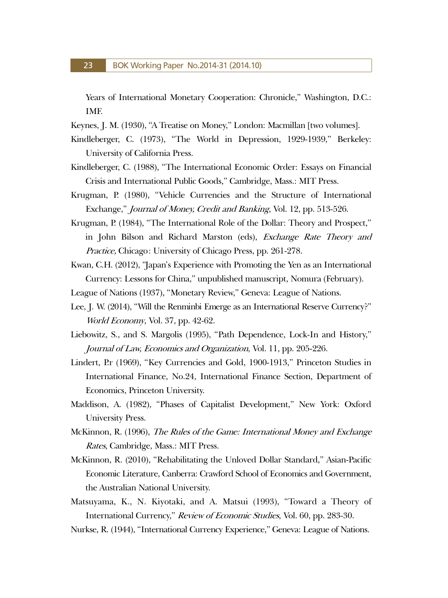Years of International Monetary Cooperation: Chronicle," Washington, D.C.: IMF.

- Keynes, J. M. (1930), "A Treatise on Money," London: Macmillan [two volumes].
- Kindleberger, C. (1973), "The World in Depression, 1929-1939," Berkeley: University of California Press.
- Kindleberger, C. (1988), "The International Economic Order: Essays on Financial Crisis and International Public Goods," Cambridge, Mass.: MIT Press.
- Krugman, P. (1980), "Vehicle Currencies and the Structure of International Exchange," Journal of Money, Credit and Banking, Vol. 12, pp. 513-526.
- Krugman, P. (1984), "The International Role of the Dollar: Theory and Prospect," in John Bilson and Richard Marston (eds), Exchange Rate Theory and Practice, Chicago: University of Chicago Press, pp. 261-278.
- Kwan, C.H. (2012), "Japan's Experience with Promoting the Yen as an International Currency: Lessons for China," unpublished manuscript, Nomura (February).
- League of Nations (1937), "Monetary Review," Geneva: League of Nations.
- Lee, J. W. (2014), "Will the Renminbi Emerge as an International Reserve Currency?" World Economy, Vol. 37, pp. 42-62.
- Liebowitz, S., and S. Margolis (1995), "Path Dependence, Lock-In and History," Journal of Law, Economics and Organization, Vol. 11, pp. 205-226.
- Lindert, P.r (1969), "Key Currencies and Gold, 1900-1913," Princeton Studies in International Finance, No.24, International Finance Section, Department of Economics, Princeton University.
- Maddison, A. (1982), "Phases of Capitalist Development," New York: Oxford University Press.
- McKinnon, R. (1996), *The Rules of the Game: International Money and Exchange* Rates, Cambridge, Mass.: MIT Press.
- McKinnon, R. (2010), "Rehabilitating the Unloved Dollar Standard," Asian-Pacific Economic Literature, Canberra: Crawford School of Economics and Government, the Australian National University.
- Matsuyama, K., N. Kiyotaki, and A. Matsui (1993), "Toward a Theory of International Currency," Review of Economic Studies, Vol. 60, pp. 283-30.
- Nurkse, R. (1944), "International Currency Experience," Geneva: League of Nations.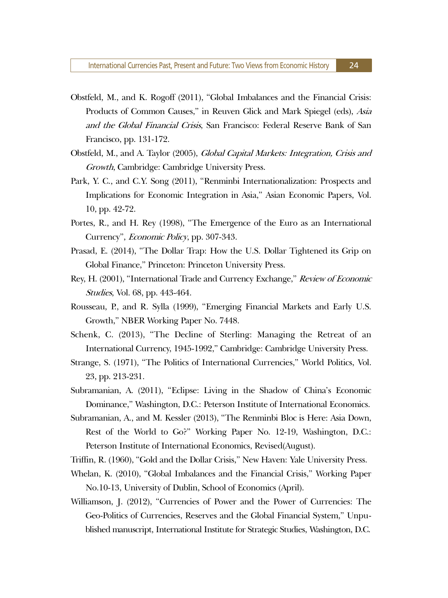- Obstfeld, M., and K. Rogoff (2011), "Global Imbalances and the Financial Crisis: Products of Common Causes," in Reuven Glick and Mark Spiegel (eds), Asia and the Global Financial Crisis, San Francisco: Federal Reserve Bank of San Francisco, pp. 131-172.
- Obstfeld, M., and A. Taylor (2005), Global Capital Markets: Integration, Crisis and Growth, Cambridge: Cambridge University Press.
- Park, Y. C., and C.Y. Song (2011), "Renminbi Internationalization: Prospects and Implications for Economic Integration in Asia," Asian Economic Papers, Vol. 10, pp. 42-72.
- Portes, R., and H. Rey (1998), "The Emergence of the Euro as an International Currency", Economic Policy, pp. 307-343.
- Prasad, E. (2014), "The Dollar Trap: How the U.S. Dollar Tightened its Grip on Global Finance," Princeton: Princeton University Press.
- Rey, H. (2001), "International Trade and Currency Exchange," Review of Economic Studies, Vol. 68, pp. 443-464.
- Rousseau, P., and R. Sylla (1999), "Emerging Financial Markets and Early U.S. Growth," NBER Working Paper No. 7448.
- Schenk, C. (2013), "The Decline of Sterling: Managing the Retreat of an International Currency, 1945-1992," Cambridge: Cambridge University Press.
- Strange, S. (1971), "The Politics of International Currencies," World Politics, Vol. 23, pp. 213-231.
- Subramanian, A. (2011), "Eclipse: Living in the Shadow of China's Economic Dominance," Washington, D.C.: Peterson Institute of International Economics.
- Subramanian, A., and M. Kessler (2013), "The Renminbi Bloc is Here: Asia Down, Rest of the World to Go?" Working Paper No. 12-19, Washington, D.C.: Peterson Institute of International Economics, Revised(August).
- Triffin, R. (1960), "Gold and the Dollar Crisis," New Haven: Yale University Press.
- Whelan, K. (2010), "Global Imbalances and the Financial Crisis," Working Paper No.10-13, University of Dublin, School of Economics (April).
- Williamson, J. (2012), "Currencies of Power and the Power of Currencies: The Geo-Politics of Currencies, Reserves and the Global Financial System," Unpublished manuscript, International Institute for Strategic Studies, Washington, D.C.